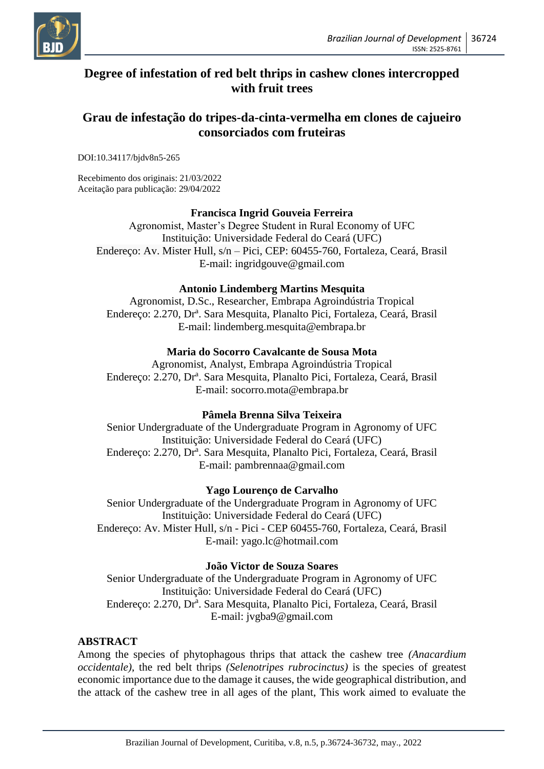

# **Degree of infestation of red belt thrips in cashew clones intercropped with fruit trees**

# **Grau de infestação do tripes-da-cinta-vermelha em clones de cajueiro consorciados com fruteiras**

DOI:10.34117/bjdv8n5-265

Recebimento dos originais: 21/03/2022 Aceitação para publicação: 29/04/2022

### **Francisca Ingrid Gouveia Ferreira**

Agronomist, Master's Degree Student in Rural Economy of UFC Instituição: Universidade Federal do Ceará (UFC) Endereço: Av. Mister Hull, s/n – Pici, CEP: 60455-760, Fortaleza, Ceará, Brasil E-mail: [ingridgouve@gmail.com](mailto:ingridgouve@gmail.com)

#### **Antonio Lindemberg Martins Mesquita**

Agronomist, D.Sc., Researcher, Embrapa Agroindústria Tropical Endereço: 2.270, Dr<sup>a</sup>. Sara Mesquita, Planalto Pici, Fortaleza, Ceará, Brasil E-mail: [lindemberg.mesquita@embrapa.br](mailto:lindemberg.mesquita@embrapa.br)

### **Maria do Socorro Cavalcante de Sousa Mota**

Agronomist, Analyst, Embrapa Agroindústria Tropical Endereço: 2.270, Dr<sup>a</sup>. Sara Mesquita, Planalto Pici, Fortaleza, Ceará, Brasil E-mail: [socorro.mota@embrapa.br](mailto:socorro.mota@embrapa.br)

## **Pâmela Brenna Silva Teixeira**

Senior Undergraduate of the Undergraduate Program in Agronomy of UFC Instituição: Universidade Federal do Ceará (UFC) Endereço: 2.270, Dr<sup>a</sup>. Sara Mesquita, Planalto Pici, Fortaleza, Ceará, Brasil E-mail: [pambrennaa@gmail.com](mailto:pambrennaa@gmail.com)

## **Yago Lourenço de Carvalho**

Senior Undergraduate of the Undergraduate Program in Agronomy of UFC Instituição: Universidade Federal do Ceará (UFC) Endereço: Av. Mister Hull, s/n - Pici - CEP 60455-760, Fortaleza, Ceará, Brasil E-mail: [yago.lc@hotmail.com](mailto:yago.lc@hotmail.com)

#### **João Victor de Souza Soares**

Senior Undergraduate of the Undergraduate Program in Agronomy of UFC Instituição: Universidade Federal do Ceará (UFC) Endereço: 2.270, Drª. Sara Mesquita, Planalto Pici, Fortaleza, Ceará, Brasil E-mail: [jvgba9@gmail.com](mailto:jvgba9@gmail.com)

#### **ABSTRACT**

Among the species of phytophagous thrips that attack the cashew tree *(Anacardium occidentale)*, the red belt thrips *(Selenotripes rubrocinctus)* is the species of greatest economic importance due to the damage it causes, the wide geographical distribution, and the attack of the cashew tree in all ages of the plant, This work aimed to evaluate the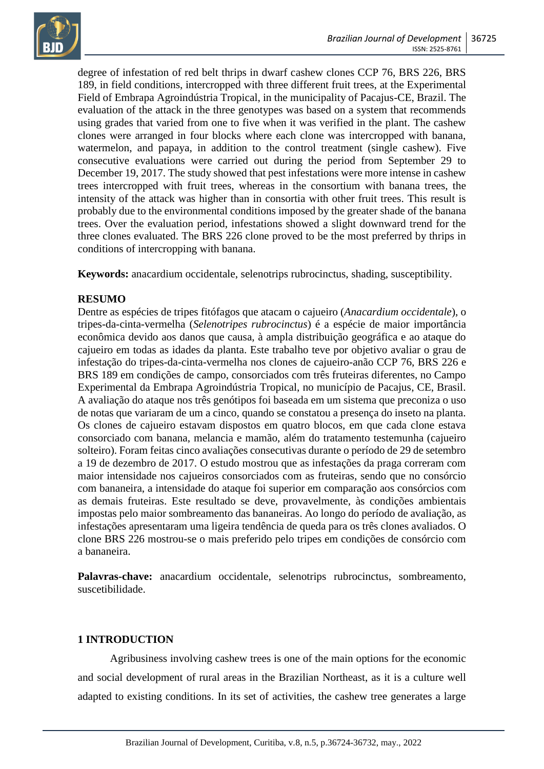

degree of infestation of red belt thrips in dwarf cashew clones CCP 76, BRS 226, BRS 189, in field conditions, intercropped with three different fruit trees, at the Experimental Field of Embrapa Agroindústria Tropical, in the municipality of Pacajus-CE, Brazil. The evaluation of the attack in the three genotypes was based on a system that recommends using grades that varied from one to five when it was verified in the plant. The cashew clones were arranged in four blocks where each clone was intercropped with banana, watermelon, and papaya, in addition to the control treatment (single cashew). Five consecutive evaluations were carried out during the period from September 29 to December 19, 2017. The study showed that pest infestations were more intense in cashew trees intercropped with fruit trees, whereas in the consortium with banana trees, the intensity of the attack was higher than in consortia with other fruit trees. This result is probably due to the environmental conditions imposed by the greater shade of the banana trees. Over the evaluation period, infestations showed a slight downward trend for the three clones evaluated. The BRS 226 clone proved to be the most preferred by thrips in conditions of intercropping with banana.

**Keywords:** anacardium occidentale, selenotrips rubrocinctus, shading, susceptibility.

## **RESUMO**

Dentre as espécies de tripes fitófagos que atacam o cajueiro (*Anacardium occidentale*), o tripes-da-cinta-vermelha (*Selenotripes rubrocinctus*) é a espécie de maior importância econômica devido aos danos que causa, à ampla distribuição geográfica e ao ataque do cajueiro em todas as idades da planta. Este trabalho teve por objetivo avaliar o grau de infestação do tripes-da-cinta-vermelha nos clones de cajueiro-anão CCP 76, BRS 226 e BRS 189 em condições de campo, consorciados com três fruteiras diferentes, no Campo Experimental da Embrapa Agroindústria Tropical, no município de Pacajus, CE, Brasil. A avaliação do ataque nos três genótipos foi baseada em um sistema que preconiza o uso de notas que variaram de um a cinco, quando se constatou a presença do inseto na planta. Os clones de cajueiro estavam dispostos em quatro blocos, em que cada clone estava consorciado com banana, melancia e mamão, além do tratamento testemunha (cajueiro solteiro). Foram feitas cinco avaliações consecutivas durante o período de 29 de setembro a 19 de dezembro de 2017. O estudo mostrou que as infestações da praga correram com maior intensidade nos cajueiros consorciados com as fruteiras, sendo que no consórcio com bananeira, a intensidade do ataque foi superior em comparação aos consórcios com as demais fruteiras. Este resultado se deve, provavelmente, às condições ambientais impostas pelo maior sombreamento das bananeiras. Ao longo do período de avaliação, as infestações apresentaram uma ligeira tendência de queda para os três clones avaliados. O clone BRS 226 mostrou-se o mais preferido pelo tripes em condições de consórcio com a bananeira.

Palavras-chave: anacardium occidentale, selenotrips rubrocinctus, sombreamento, suscetibilidade.

## **1 INTRODUCTION**

Agribusiness involving cashew trees is one of the main options for the economic and social development of rural areas in the Brazilian Northeast, as it is a culture well adapted to existing conditions. In its set of activities, the cashew tree generates a large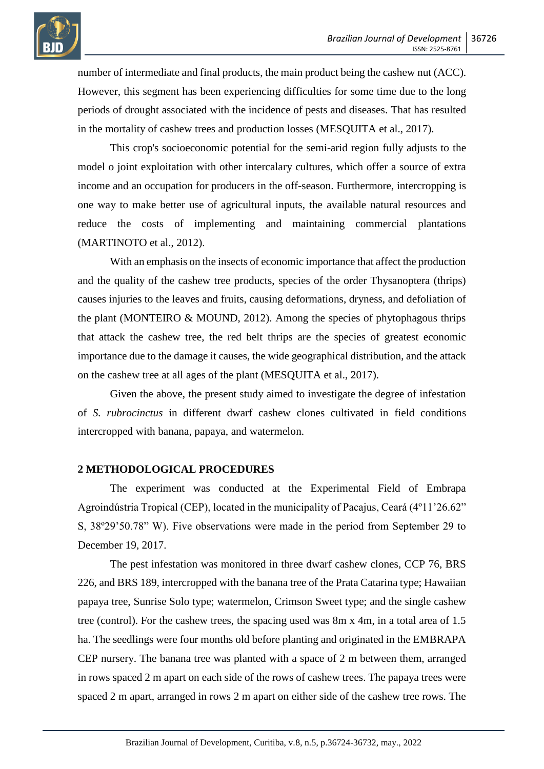

number of intermediate and final products, the main product being the cashew nut (ACC). However, this segment has been experiencing difficulties for some time due to the long periods of drought associated with the incidence of pests and diseases. That has resulted in the mortality of cashew trees and production losses (MESQUITA et al., 2017).

This crop's socioeconomic potential for the semi-arid region fully adjusts to the model o joint exploitation with other intercalary cultures, which offer a source of extra income and an occupation for producers in the off-season. Furthermore, intercropping is one way to make better use of agricultural inputs, the available natural resources and reduce the costs of implementing and maintaining commercial plantations (MARTINOTO et al., 2012).

With an emphasis on the insects of economic importance that affect the production and the quality of the cashew tree products, species of the order Thysanoptera (thrips) causes injuries to the leaves and fruits, causing deformations, dryness, and defoliation of the plant (MONTEIRO  $&$  MOUND, 2012). Among the species of phytophagous thrips that attack the cashew tree, the red belt thrips are the species of greatest economic importance due to the damage it causes, the wide geographical distribution, and the attack on the cashew tree at all ages of the plant (MESQUITA et al., 2017).

Given the above, the present study aimed to investigate the degree of infestation of *S. rubrocinctus* in different dwarf cashew clones cultivated in field conditions intercropped with banana, papaya, and watermelon.

#### **2 METHODOLOGICAL PROCEDURES**

The experiment was conducted at the Experimental Field of Embrapa Agroindústria Tropical (CEP), located in the municipality of Pacajus, Ceará (4º11'26.62" S, 38º29'50.78" W). Five observations were made in the period from September 29 to December 19, 2017.

The pest infestation was monitored in three dwarf cashew clones, CCP 76, BRS 226, and BRS 189, intercropped with the banana tree of the Prata Catarina type; Hawaiian papaya tree, Sunrise Solo type; watermelon, Crimson Sweet type; and the single cashew tree (control). For the cashew trees, the spacing used was 8m x 4m, in a total area of 1.5 ha. The seedlings were four months old before planting and originated in the EMBRAPA CEP nursery. The banana tree was planted with a space of 2 m between them, arranged in rows spaced 2 m apart on each side of the rows of cashew trees. The papaya trees were spaced 2 m apart, arranged in rows 2 m apart on either side of the cashew tree rows. The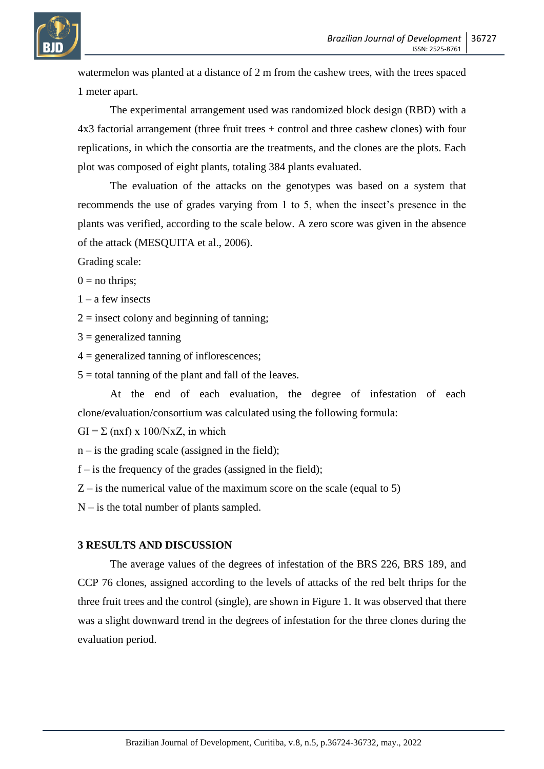

watermelon was planted at a distance of 2 m from the cashew trees, with the trees spaced 1 meter apart.

The experimental arrangement used was randomized block design (RBD) with a 4x3 factorial arrangement (three fruit trees + control and three cashew clones) with four replications, in which the consortia are the treatments, and the clones are the plots. Each plot was composed of eight plants, totaling 384 plants evaluated.

The evaluation of the attacks on the genotypes was based on a system that recommends the use of grades varying from 1 to 5, when the insect's presence in the plants was verified, according to the scale below. A zero score was given in the absence of the attack (MESQUITA et al., 2006).

Grading scale:

 $0 =$  no thrips;

- $1 a$  few insects
- $2 =$  insect colony and beginning of tanning;
- $3$  = generalized tanning
- $4 =$  generalized tanning of inflorescences;
- $5 =$  total tanning of the plant and fall of the leaves.

At the end of each evaluation, the degree of infestation of each clone/evaluation/consortium was calculated using the following formula:

 $GI = \Sigma$  (nxf) x 100/NxZ, in which

 $n - is$  the grading scale (assigned in the field);

 $f -$  is the frequency of the grades (assigned in the field);

 $Z$  – is the numerical value of the maximum score on the scale (equal to 5)

 $N -$  is the total number of plants sampled.

## **3 RESULTS AND DISCUSSION**

The average values of the degrees of infestation of the BRS 226, BRS 189, and CCP 76 clones, assigned according to the levels of attacks of the red belt thrips for the three fruit trees and the control (single), are shown in Figure 1. It was observed that there was a slight downward trend in the degrees of infestation for the three clones during the evaluation period.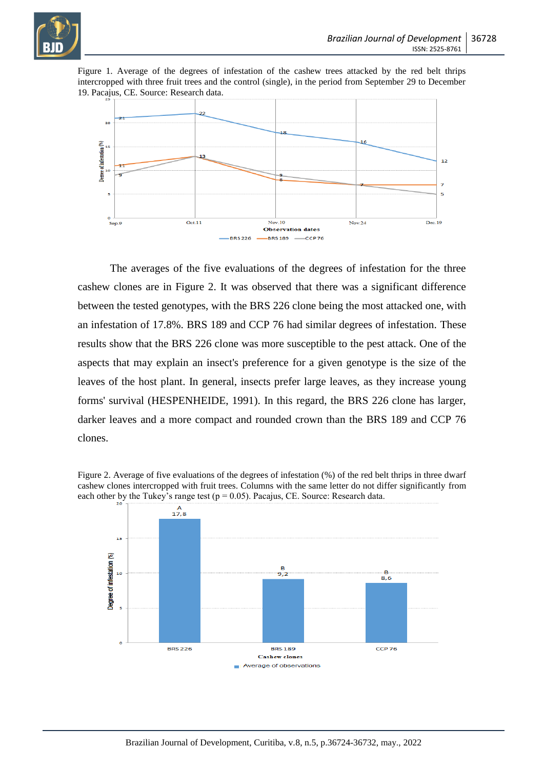

Figure 1. Average of the degrees of infestation of the cashew trees attacked by the red belt thrips intercropped with three fruit trees and the control (single), in the period from September 29 to December 19. Pacajus, CE. Source: Research data.



The averages of the five evaluations of the degrees of infestation for the three cashew clones are in Figure 2. It was observed that there was a significant difference between the tested genotypes, with the BRS 226 clone being the most attacked one, with an infestation of 17.8%. BRS 189 and CCP 76 had similar degrees of infestation. These results show that the BRS 226 clone was more susceptible to the pest attack. One of the aspects that may explain an insect's preference for a given genotype is the size of the leaves of the host plant. In general, insects prefer large leaves, as they increase young forms' survival (HESPENHEIDE, 1991). In this regard, the BRS 226 clone has larger, darker leaves and a more compact and rounded crown than the BRS 189 and CCP 76 clones.

Figure 2. Average of five evaluations of the degrees of infestation (%) of the red belt thrips in three dwarf cashew clones intercropped with fruit trees. Columns with the same letter do not differ significantly from each other by the Tukey's range test ( $p = 0.05$ ). Pacajus, CE. Source: Research data.

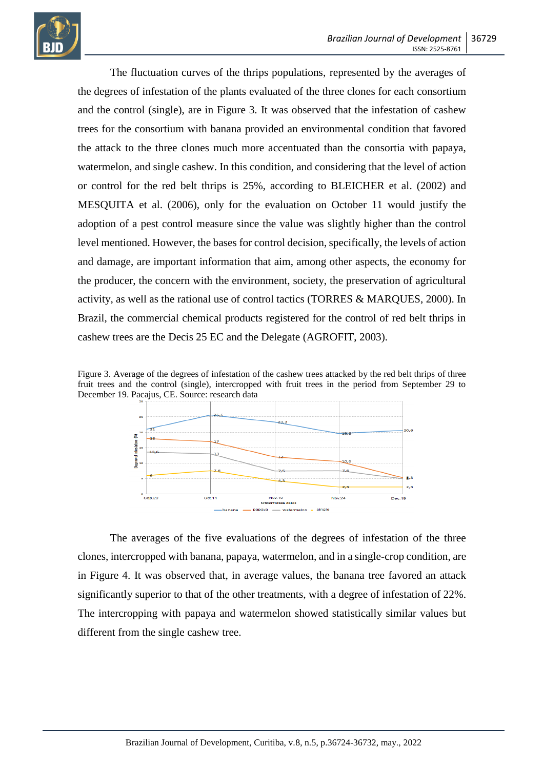

The fluctuation curves of the thrips populations, represented by the averages of the degrees of infestation of the plants evaluated of the three clones for each consortium and the control (single), are in Figure 3. It was observed that the infestation of cashew trees for the consortium with banana provided an environmental condition that favored the attack to the three clones much more accentuated than the consortia with papaya, watermelon, and single cashew. In this condition, and considering that the level of action or control for the red belt thrips is 25%, according to BLEICHER et al. (2002) and MESQUITA et al. (2006), only for the evaluation on October 11 would justify the adoption of a pest control measure since the value was slightly higher than the control level mentioned. However, the bases for control decision, specifically, the levels of action and damage, are important information that aim, among other aspects, the economy for the producer, the concern with the environment, society, the preservation of agricultural activity, as well as the rational use of control tactics (TORRES & MARQUES, 2000). In Brazil, the commercial chemical products registered for the control of red belt thrips in cashew trees are the Decis 25 EC and the Delegate (AGROFIT, 2003).

Figure 3. Average of the degrees of infestation of the cashew trees attacked by the red belt thrips of three fruit trees and the control (single), intercropped with fruit trees in the period from September 29 to December 19. Pacajus, CE. Source: research data



The averages of the five evaluations of the degrees of infestation of the three clones, intercropped with banana, papaya, watermelon, and in a single-crop condition, are in Figure 4. It was observed that, in average values, the banana tree favored an attack significantly superior to that of the other treatments, with a degree of infestation of 22%. The intercropping with papaya and watermelon showed statistically similar values but different from the single cashew tree.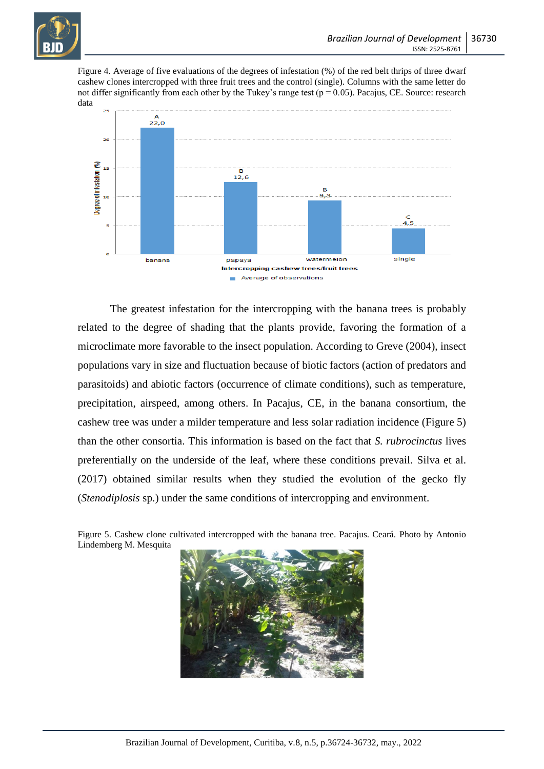

Figure 4. Average of five evaluations of the degrees of infestation (%) of the red belt thrips of three dwarf cashew clones intercropped with three fruit trees and the control (single). Columns with the same letter do not differ significantly from each other by the Tukey's range test ( $p = 0.05$ ). Pacajus, CE. Source: research data



The greatest infestation for the intercropping with the banana trees is probably related to the degree of shading that the plants provide, favoring the formation of a microclimate more favorable to the insect population. According to Greve (2004), insect populations vary in size and fluctuation because of biotic factors (action of predators and parasitoids) and abiotic factors (occurrence of climate conditions), such as temperature, precipitation, airspeed, among others. In Pacajus, CE, in the banana consortium, the cashew tree was under a milder temperature and less solar radiation incidence (Figure 5) than the other consortia. This information is based on the fact that *S. rubrocinctus* lives preferentially on the underside of the leaf, where these conditions prevail. Silva et al. (2017) obtained similar results when they studied the evolution of the gecko fly (*Stenodiplosis* sp.) under the same conditions of intercropping and environment.

Figure 5. Cashew clone cultivated intercropped with the banana tree. Pacajus. Ceará. Photo by Antonio Lindemberg M. Mesquita

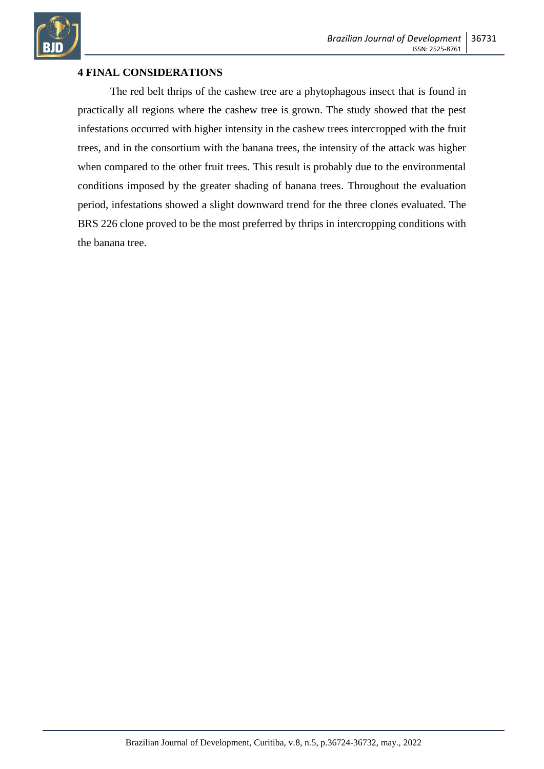

### **4 FINAL CONSIDERATIONS**

The red belt thrips of the cashew tree are a phytophagous insect that is found in practically all regions where the cashew tree is grown. The study showed that the pest infestations occurred with higher intensity in the cashew trees intercropped with the fruit trees, and in the consortium with the banana trees, the intensity of the attack was higher when compared to the other fruit trees. This result is probably due to the environmental conditions imposed by the greater shading of banana trees. Throughout the evaluation period, infestations showed a slight downward trend for the three clones evaluated. The BRS 226 clone proved to be the most preferred by thrips in intercropping conditions with the banana tree.